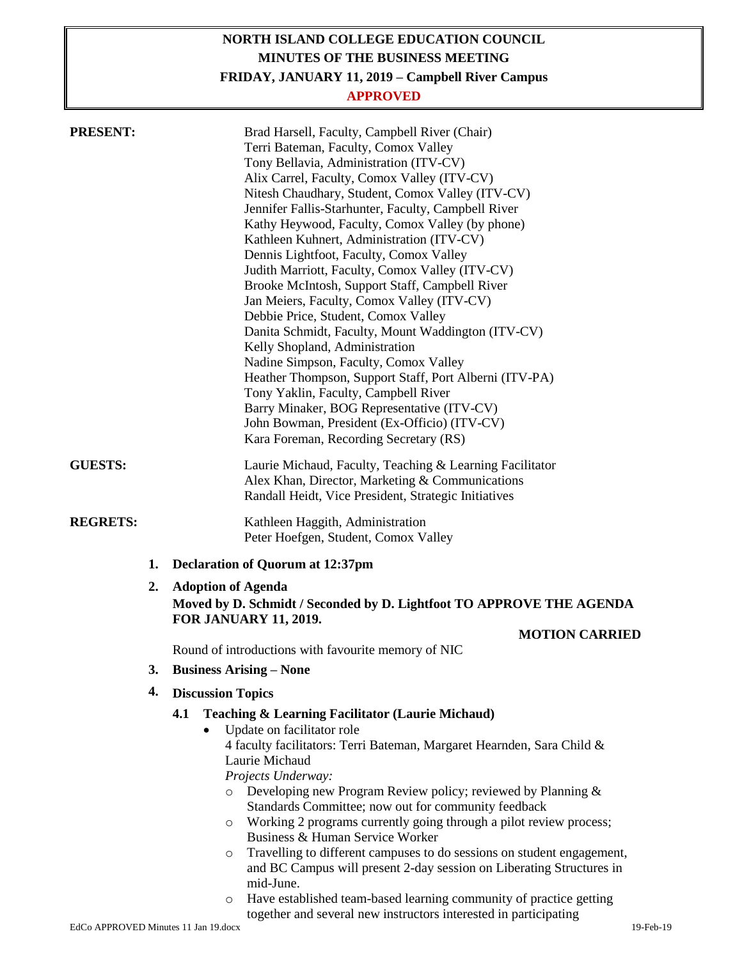# **NORTH ISLAND COLLEGE EDUCATION COUNCIL MINUTES OF THE BUSINESS MEETING**

**FRIDAY, JANUARY 11, 2019 – Campbell River Campus**

## **APPROVED**

| <b>PRESENT:</b><br><b>GUESTS:</b> |    | Brad Harsell, Faculty, Campbell River (Chair)<br>Terri Bateman, Faculty, Comox Valley<br>Tony Bellavia, Administration (ITV-CV)<br>Alix Carrel, Faculty, Comox Valley (ITV-CV)<br>Nitesh Chaudhary, Student, Comox Valley (ITV-CV)<br>Jennifer Fallis-Starhunter, Faculty, Campbell River<br>Kathy Heywood, Faculty, Comox Valley (by phone)<br>Kathleen Kuhnert, Administration (ITV-CV)<br>Dennis Lightfoot, Faculty, Comox Valley<br>Judith Marriott, Faculty, Comox Valley (ITV-CV)<br>Brooke McIntosh, Support Staff, Campbell River<br>Jan Meiers, Faculty, Comox Valley (ITV-CV)<br>Debbie Price, Student, Comox Valley<br>Danita Schmidt, Faculty, Mount Waddington (ITV-CV)<br>Kelly Shopland, Administration<br>Nadine Simpson, Faculty, Comox Valley<br>Heather Thompson, Support Staff, Port Alberni (ITV-PA)<br>Tony Yaklin, Faculty, Campbell River<br>Barry Minaker, BOG Representative (ITV-CV)<br>John Bowman, President (Ex-Officio) (ITV-CV)<br>Kara Foreman, Recording Secretary (RS)<br>Laurie Michaud, Faculty, Teaching & Learning Facilitator |
|-----------------------------------|----|-----------------------------------------------------------------------------------------------------------------------------------------------------------------------------------------------------------------------------------------------------------------------------------------------------------------------------------------------------------------------------------------------------------------------------------------------------------------------------------------------------------------------------------------------------------------------------------------------------------------------------------------------------------------------------------------------------------------------------------------------------------------------------------------------------------------------------------------------------------------------------------------------------------------------------------------------------------------------------------------------------------------------------------------------------------------------|
|                                   |    | Alex Khan, Director, Marketing & Communications<br>Randall Heidt, Vice President, Strategic Initiatives                                                                                                                                                                                                                                                                                                                                                                                                                                                                                                                                                                                                                                                                                                                                                                                                                                                                                                                                                               |
| <b>REGRETS:</b>                   |    | Kathleen Haggith, Administration<br>Peter Hoefgen, Student, Comox Valley                                                                                                                                                                                                                                                                                                                                                                                                                                                                                                                                                                                                                                                                                                                                                                                                                                                                                                                                                                                              |
|                                   | 1. | <b>Declaration of Quorum at 12:37pm</b>                                                                                                                                                                                                                                                                                                                                                                                                                                                                                                                                                                                                                                                                                                                                                                                                                                                                                                                                                                                                                               |
|                                   | 2. | <b>Adoption of Agenda</b><br>Moved by D. Schmidt / Seconded by D. Lightfoot TO APPROVE THE AGENDA<br><b>FOR JANUARY 11, 2019.</b>                                                                                                                                                                                                                                                                                                                                                                                                                                                                                                                                                                                                                                                                                                                                                                                                                                                                                                                                     |
|                                   |    | <b>MOTION CARRIED</b>                                                                                                                                                                                                                                                                                                                                                                                                                                                                                                                                                                                                                                                                                                                                                                                                                                                                                                                                                                                                                                                 |
|                                   |    | Round of introductions with favourite memory of NIC                                                                                                                                                                                                                                                                                                                                                                                                                                                                                                                                                                                                                                                                                                                                                                                                                                                                                                                                                                                                                   |
|                                   | 3. | <b>Business Arising – None</b>                                                                                                                                                                                                                                                                                                                                                                                                                                                                                                                                                                                                                                                                                                                                                                                                                                                                                                                                                                                                                                        |
|                                   | 4. | <b>Discussion Topics</b>                                                                                                                                                                                                                                                                                                                                                                                                                                                                                                                                                                                                                                                                                                                                                                                                                                                                                                                                                                                                                                              |
|                                   |    | 4.1<br><b>Teaching &amp; Learning Facilitator (Laurie Michaud)</b><br>Update on facilitator role<br>٠<br>4 faculty facilitators: Terri Bateman, Margaret Hearnden, Sara Child &<br>Laurie Michaud<br>Projects Underway:<br>Developing new Program Review policy; reviewed by Planning &<br>$\circ$<br>Standards Committee; now out for community feedback<br>Working 2 programs currently going through a pilot review process;<br>$\circ$<br>Business & Human Service Worker<br>Travelling to different campuses to do sessions on student engagement,<br>$\circ$<br>and BC Campus will present 2-day session on Liberating Structures in<br>mid-June.                                                                                                                                                                                                                                                                                                                                                                                                               |

o Have established team-based learning community of practice getting together and several new instructors interested in participating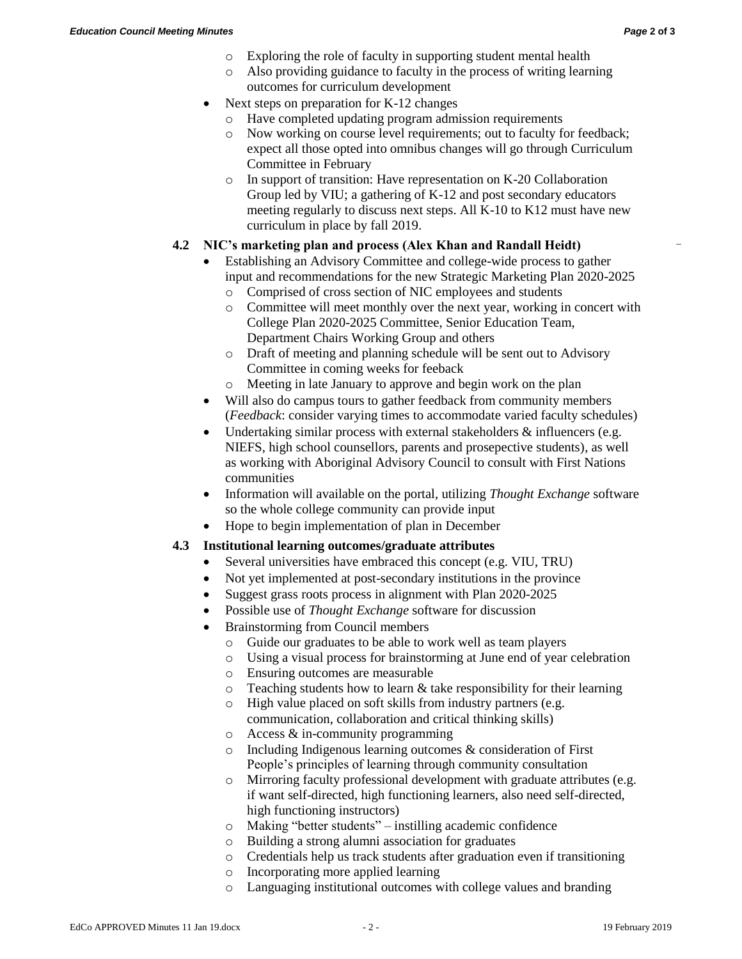-

- o Exploring the role of faculty in supporting student mental health
- o Also providing guidance to faculty in the process of writing learning outcomes for curriculum development
- Next steps on preparation for K-12 changes
	- o Have completed updating program admission requirements
	- o Now working on course level requirements; out to faculty for feedback; expect all those opted into omnibus changes will go through Curriculum Committee in February
	- o In support of transition: Have representation on K-20 Collaboration Group led by VIU; a gathering of K-12 and post secondary educators meeting regularly to discuss next steps. All K-10 to K12 must have new curriculum in place by fall 2019.

### **4.2 NIC's marketing plan and process (Alex Khan and Randall Heidt)**

- Establishing an Advisory Committee and college-wide process to gather input and recommendations for the new Strategic Marketing Plan 2020-2025
	- o Comprised of cross section of NIC employees and students
	- o Committee will meet monthly over the next year, working in concert with College Plan 2020-2025 Committee, Senior Education Team, Department Chairs Working Group and others
	- o Draft of meeting and planning schedule will be sent out to Advisory Committee in coming weeks for feeback
	- o Meeting in late January to approve and begin work on the plan
- Will also do campus tours to gather feedback from community members (*Feedback*: consider varying times to accommodate varied faculty schedules)
- Undertaking similar process with external stakeholders & influencers (e.g. NIEFS, high school counsellors, parents and prosepective students), as well as working with Aboriginal Advisory Council to consult with First Nations communities
- Information will available on the portal, utilizing *Thought Exchange* software so the whole college community can provide input
- Hope to begin implementation of plan in December

#### **4.3 Institutional learning outcomes/graduate attributes**

- Several universities have embraced this concept (e.g. VIU, TRU)
- Not yet implemented at post-secondary institutions in the province
- Suggest grass roots process in alignment with Plan 2020-2025
- Possible use of *Thought Exchange* software for discussion
- Brainstorming from Council members
	- o Guide our graduates to be able to work well as team players
	- o Using a visual process for brainstorming at June end of year celebration
	- o Ensuring outcomes are measurable
	- $\circ$  Teaching students how to learn & take responsibility for their learning
	- o High value placed on soft skills from industry partners (e.g. communication, collaboration and critical thinking skills)
	- o Access & in-community programming
	- o Including Indigenous learning outcomes & consideration of First People's principles of learning through community consultation
	- o Mirroring faculty professional development with graduate attributes (e.g. if want self-directed, high functioning learners, also need self-directed, high functioning instructors)
	- o Making "better students" instilling academic confidence
	- o Building a strong alumni association for graduates
	- o Credentials help us track students after graduation even if transitioning
	- o Incorporating more applied learning
	- o Languaging institutional outcomes with college values and branding